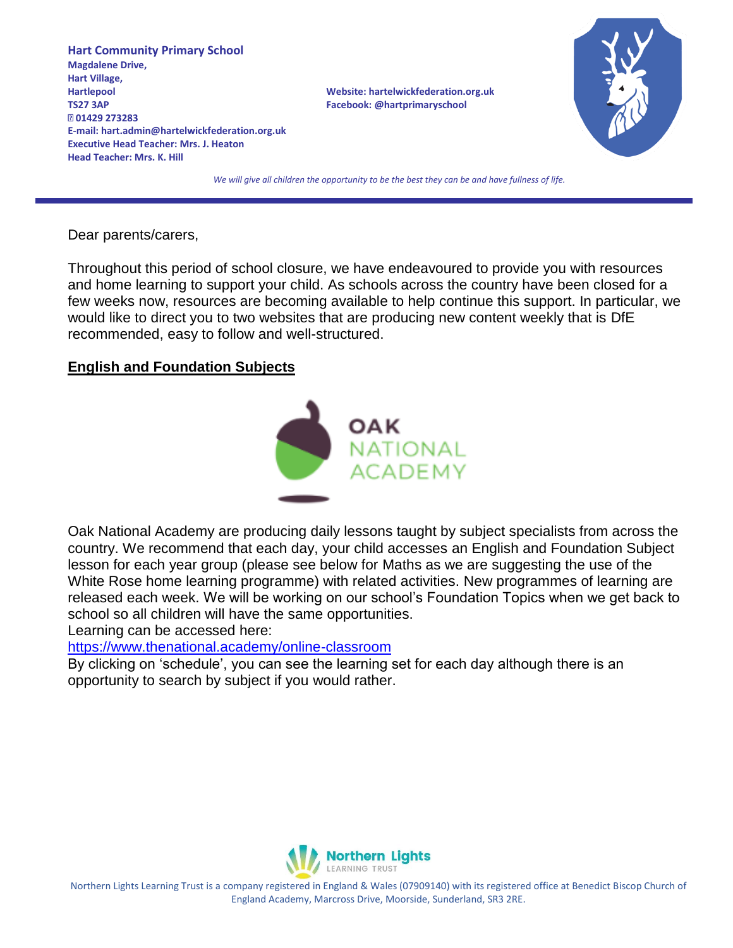**Hart Community Primary School Magdalene Drive, Hart Village, Hartlepool Website: hartelwickfederation.org.uk TS27 3AP Facebook: @hartprimaryschool 01429 273283 E-mail: hart.admin@hartelwickfederation.org.uk Executive Head Teacher: Mrs. J. Heaton Head Teacher: Mrs. K. Hill** 



*We will give all children the opportunity to be the best they can be and have fullness of life.*

Dear parents/carers,

Throughout this period of school closure, we have endeavoured to provide you with resources and home learning to support your child. As schools across the country have been closed for a few weeks now, resources are becoming available to help continue this support. In particular, we would like to direct you to two websites that are producing new content weekly that is DfE recommended, easy to follow and well-structured.

# **English and Foundation Subjects**



Oak National Academy are producing daily lessons taught by subject specialists from across the country. We recommend that each day, your child accesses an English and Foundation Subject lesson for each year group (please see below for Maths as we are suggesting the use of the White Rose home learning programme) with related activities. New programmes of learning are released each week. We will be working on our school's Foundation Topics when we get back to school so all children will have the same opportunities.

Learning can be accessed here:

<https://www.thenational.academy/online-classroom>

By clicking on 'schedule', you can see the learning set for each day although there is an opportunity to search by subject if you would rather.



Northern Lights Learning Trust is a company registered in England & Wales (07909140) with its registered office at Benedict Biscop Church of England Academy, Marcross Drive, Moorside, Sunderland, SR3 2RE.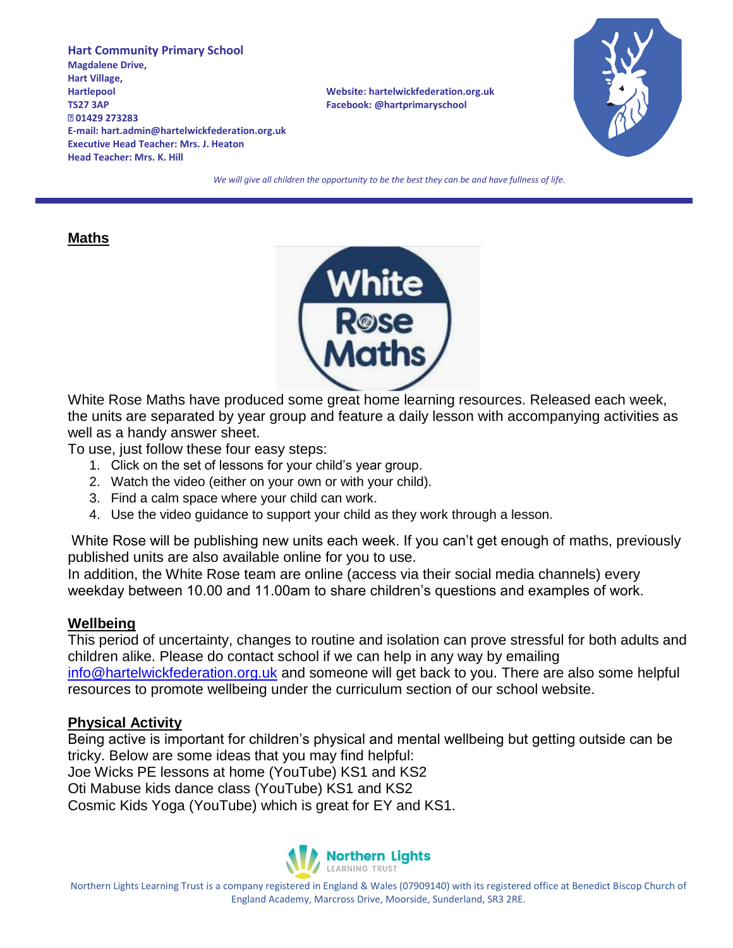**Hart Community Primary School Magdalene Drive, Hart Village, Hartlepool Website: hartelwickfederation.org.uk TS27 3AP Facebook: @hartprimaryschool 01429 273283 E-mail: hart.admin@hartelwickfederation.org.uk Executive Head Teacher: Mrs. J. Heaton Head Teacher: Mrs. K. Hill** 



*We will give all children the opportunity to be the best they can be and have fullness of life.*

### **Maths**



White Rose Maths have produced some great home learning resources. Released each week, the units are separated by year group and feature a daily lesson with accompanying activities as well as a handy answer sheet.

To use, just follow these four easy steps:

- 1. Click on the set of lessons for your child's year group.
- 2. Watch the video (either on your own or with your child).
- 3. Find a calm space where your child can work.
- 4. Use the video guidance to support your child as they work through a lesson.

White Rose will be publishing new units each week. If you can't get enough of maths, previously published units are also available online for you to use.

In addition, the White Rose team are online (access via their social media channels) every weekday between 10.00 and 11.00am to share children's questions and examples of work.

# **Wellbeing**

This period of uncertainty, changes to routine and isolation can prove stressful for both adults and children alike. Please do contact school if we can help in any way by emailing [info@hartelwickfederation.org.uk](mailto:info@hartelwickfederation.org.uk) and someone will get back to you. There are also some helpful resources to promote wellbeing under the curriculum section of our school website.

# **Physical Activity**

Being active is important for children's physical and mental wellbeing but getting outside can be tricky. Below are some ideas that you may find helpful: Joe Wicks PE lessons at home (YouTube) KS1 and KS2 Oti Mabuse kids dance class (YouTube) KS1 and KS2 Cosmic Kids Yoga (YouTube) which is great for EY and KS1.



Northern Lights Learning Trust is a company registered in England & Wales (07909140) with its registered office at Benedict Biscop Church of England Academy, Marcross Drive, Moorside, Sunderland, SR3 2RE.